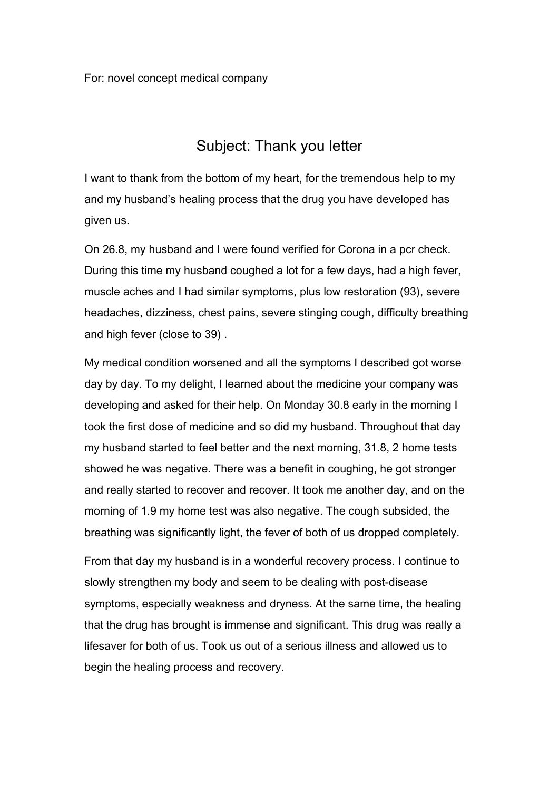## Subject: Thank you letter

I want to thank from the bottom of my heart, for the tremendous help to my and my husband's healing process that the drug you have developed has given us.

On 26.8, my husband and I were found verified for Corona in a pcr check. During this time my husband coughed a lot for a few days, had a high fever, muscle aches and I had similar symptoms, plus low restoration (93), severe headaches, dizziness, chest pains, severe stinging cough, difficulty breathing and high fever (close to 39) .

My medical condition worsened and all the symptoms I described got worse day by day. To my delight, I learned about the medicine your company was developing and asked for their help. On Monday 30.8 early in the morning I took the first dose of medicine and so did my husband. Throughout that day my husband started to feel better and the next morning, 31.8, 2 home tests showed he was negative. There was a benefit in coughing, he got stronger and really started to recover and recover. It took me another day, and on the morning of 1.9 my home test was also negative. The cough subsided, the breathing was significantly light, the fever of both of us dropped completely.

From that day my husband is in a wonderful recovery process. I continue to slowly strengthen my body and seem to be dealing with post-disease symptoms, especially weakness and dryness. At the same time, the healing that the drug has brought is immense and significant. This drug was really a lifesaver for both of us. Took us out of a serious illness and allowed us to begin the healing process and recovery.